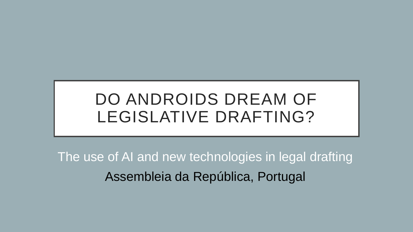# DO ANDROIDS DREAM OF LEGISLATIVE DRAFTING?

The use of AI and new technologies in legal drafting Assembleia da República, Portugal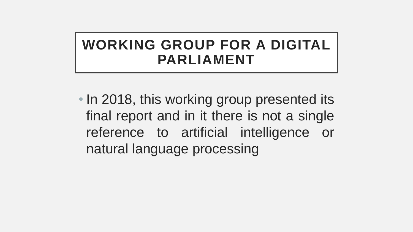## **WORKING GROUP FOR A DIGITAL PARLIAMENT**

• In 2018, this working group presented its final report and in it there is not a single reference to artificial intelligence or natural language processing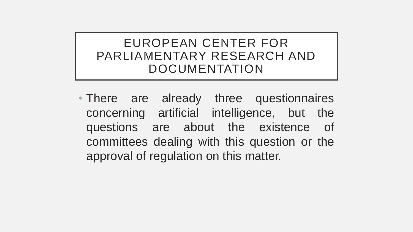#### EUROPEAN CENTER FOR PARLIAMENTARY RESEARCH AND DOCUMENTATION

• There are already three questionnaires concerning artificial intelligence, but the questions are about the existence of committees dealing with this question or the approval of regulation on this matter.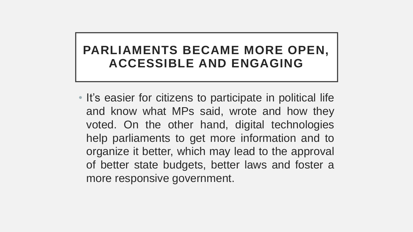#### **PARLIAMENTS BECAME MORE OPEN, ACCESSIBLE AND ENGAGING**

• It's easier for citizens to participate in political life and know what MPs said, wrote and how they voted. On the other hand, digital technologies help parliaments to get more information and to organize it better, which may lead to the approval of better state budgets, better laws and foster a more responsive government.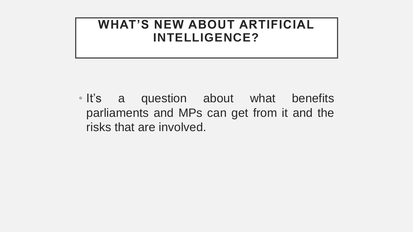#### **WHAT'S NEW ABOUT ARTIFICIAL INTELLIGENCE?**

• It's a question about what benefits parliaments and MPs can get from it and the risks that are involved.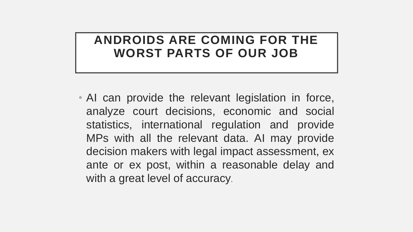#### **ANDROIDS ARE COMING FOR THE WORST PARTS OF OUR JOB**

• AI can provide the relevant legislation in force, analyze court decisions, economic and social statistics, international regulation and provide MPs with all the relevant data. AI may provide decision makers with legal impact assessment, ex ante or ex post, within a reasonable delay and with a great level of accuracy.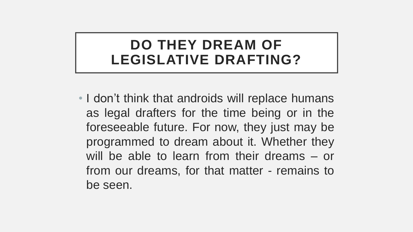### **DO THEY DREAM OF LEGISLATIVE DRAFTING?**

• I don't think that androids will replace humans as legal drafters for the time being or in the foreseeable future. For now, they just may be programmed to dream about it. Whether they will be able to learn from their dreams – or from our dreams, for that matter - remains to be seen.